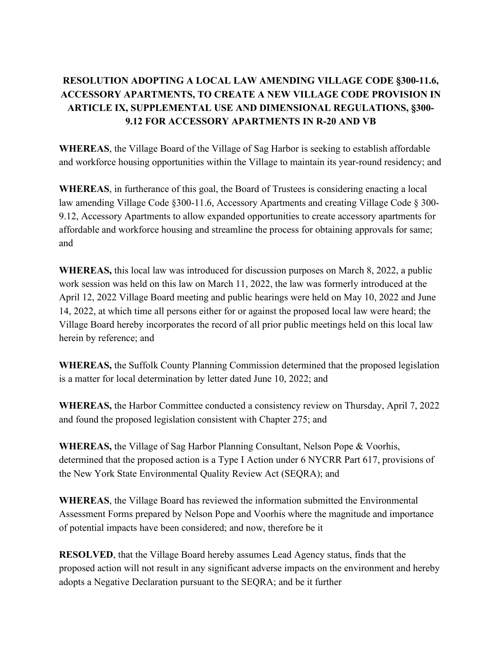# **RESOLUTION ADOPTING A LOCAL LAW AMENDING VILLAGE CODE §300-11.6, ACCESSORY APARTMENTS, TO CREATE A NEW VILLAGE CODE PROVISION IN ARTICLE IX, SUPPLEMENTAL USE AND DIMENSIONAL REGULATIONS, §300- 9.12 FOR ACCESSORY APARTMENTS IN R-20 AND VB**

**WHEREAS**, the Village Board of the Village of Sag Harbor is seeking to establish affordable and workforce housing opportunities within the Village to maintain its year-round residency; and

**WHEREAS**, in furtherance of this goal, the Board of Trustees is considering enacting a local law amending Village Code §300-11.6, Accessory Apartments and creating Village Code § 300- 9.12, Accessory Apartments to allow expanded opportunities to create accessory apartments for affordable and workforce housing and streamline the process for obtaining approvals for same; and

**WHEREAS,** this local law was introduced for discussion purposes on March 8, 2022, a public work session was held on this law on March 11, 2022, the law was formerly introduced at the April 12, 2022 Village Board meeting and public hearings were held on May 10, 2022 and June 14, 2022, at which time all persons either for or against the proposed local law were heard; the Village Board hereby incorporates the record of all prior public meetings held on this local law herein by reference; and

**WHEREAS,** the Suffolk County Planning Commission determined that the proposed legislation is a matter for local determination by letter dated June 10, 2022; and

**WHEREAS,** the Harbor Committee conducted a consistency review on Thursday, April 7, 2022 and found the proposed legislation consistent with Chapter 275; and

**WHEREAS,** the Village of Sag Harbor Planning Consultant, Nelson Pope & Voorhis, determined that the proposed action is a Type I Action under 6 NYCRR Part 617, provisions of the New York State Environmental Quality Review Act (SEQRA); and

**WHEREAS**, the Village Board has reviewed the information submitted the Environmental Assessment Forms prepared by Nelson Pope and Voorhis where the magnitude and importance of potential impacts have been considered; and now, therefore be it

**RESOLVED**, that the Village Board hereby assumes Lead Agency status, finds that the proposed action will not result in any significant adverse impacts on the environment and hereby adopts a Negative Declaration pursuant to the SEQRA; and be it further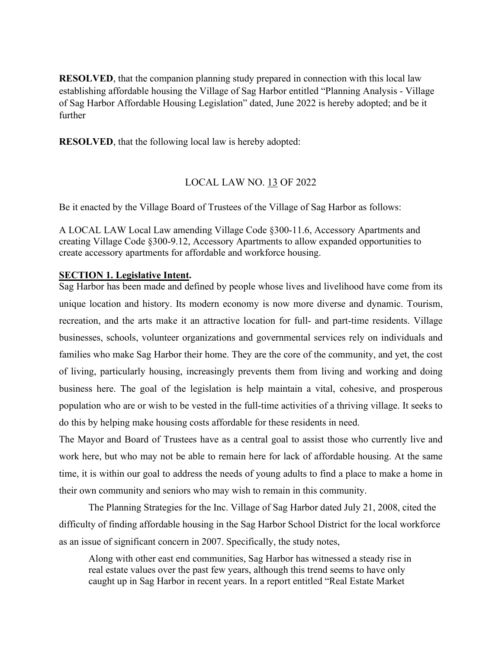**RESOLVED**, that the companion planning study prepared in connection with this local law establishing affordable housing the Village of Sag Harbor entitled "Planning Analysis - Village of Sag Harbor Affordable Housing Legislation" dated, June 2022 is hereby adopted; and be it further

**RESOLVED**, that the following local law is hereby adopted:

#### LOCAL LAW NO. 13 OF 2022

Be it enacted by the Village Board of Trustees of the Village of Sag Harbor as follows:

A LOCAL LAW Local Law amending Village Code §300-11.6, Accessory Apartments and creating Village Code §300-9.12, Accessory Apartments to allow expanded opportunities to create accessory apartments for affordable and workforce housing.

#### **SECTION 1. Legislative Intent.**

Sag Harbor has been made and defined by people whose lives and livelihood have come from its unique location and history. Its modern economy is now more diverse and dynamic. Tourism, recreation, and the arts make it an attractive location for full- and part-time residents. Village businesses, schools, volunteer organizations and governmental services rely on individuals and families who make Sag Harbor their home. They are the core of the community, and yet, the cost of living, particularly housing, increasingly prevents them from living and working and doing business here. The goal of the legislation is help maintain a vital, cohesive, and prosperous population who are or wish to be vested in the full-time activities of a thriving village. It seeks to do this by helping make housing costs affordable for these residents in need.

The Mayor and Board of Trustees have as a central goal to assist those who currently live and work here, but who may not be able to remain here for lack of affordable housing. At the same time, it is within our goal to address the needs of young adults to find a place to make a home in their own community and seniors who may wish to remain in this community.

The Planning Strategies for the Inc. Village of Sag Harbor dated July 21, 2008, cited the difficulty of finding affordable housing in the Sag Harbor School District for the local workforce as an issue of significant concern in 2007. Specifically, the study notes,

Along with other east end communities, Sag Harbor has witnessed a steady rise in real estate values over the past few years, although this trend seems to have only caught up in Sag Harbor in recent years. In a report entitled "Real Estate Market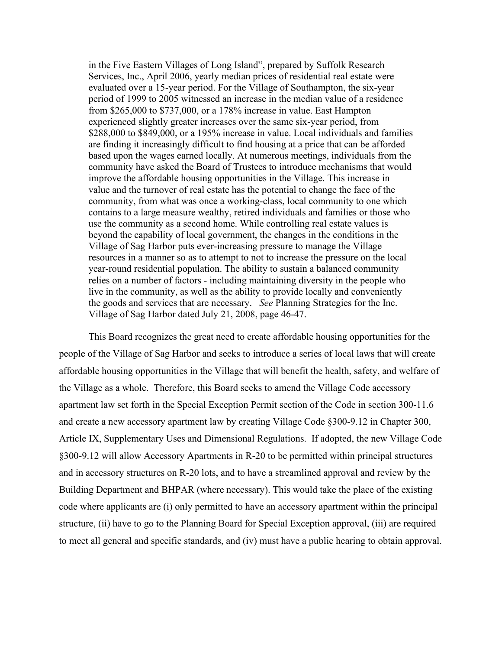in the Five Eastern Villages of Long Island", prepared by Suffolk Research Services, Inc., April 2006, yearly median prices of residential real estate were evaluated over a 15-year period. For the Village of Southampton, the six-year period of 1999 to 2005 witnessed an increase in the median value of a residence from \$265,000 to \$737,000, or a 178% increase in value. East Hampton experienced slightly greater increases over the same six-year period, from \$288,000 to \$849,000, or a 195% increase in value. Local individuals and families are finding it increasingly difficult to find housing at a price that can be afforded based upon the wages earned locally. At numerous meetings, individuals from the community have asked the Board of Trustees to introduce mechanisms that would improve the affordable housing opportunities in the Village. This increase in value and the turnover of real estate has the potential to change the face of the community, from what was once a working-class, local community to one which contains to a large measure wealthy, retired individuals and families or those who use the community as a second home. While controlling real estate values is beyond the capability of local government, the changes in the conditions in the Village of Sag Harbor puts ever-increasing pressure to manage the Village resources in a manner so as to attempt to not to increase the pressure on the local year-round residential population. The ability to sustain a balanced community relies on a number of factors - including maintaining diversity in the people who live in the community, as well as the ability to provide locally and conveniently the goods and services that are necessary. *See* Planning Strategies for the Inc. Village of Sag Harbor dated July 21, 2008, page 46-47.

This Board recognizes the great need to create affordable housing opportunities for the people of the Village of Sag Harbor and seeks to introduce a series of local laws that will create affordable housing opportunities in the Village that will benefit the health, safety, and welfare of the Village as a whole. Therefore, this Board seeks to amend the Village Code accessory apartment law set forth in the Special Exception Permit section of the Code in section 300-11.6 and create a new accessory apartment law by creating Village Code §300-9.12 in Chapter 300, Article IX, Supplementary Uses and Dimensional Regulations. If adopted, the new Village Code §300-9.12 will allow Accessory Apartments in R-20 to be permitted within principal structures and in accessory structures on R-20 lots, and to have a streamlined approval and review by the Building Department and BHPAR (where necessary). This would take the place of the existing code where applicants are (i) only permitted to have an accessory apartment within the principal structure, (ii) have to go to the Planning Board for Special Exception approval, (iii) are required to meet all general and specific standards, and (iv) must have a public hearing to obtain approval.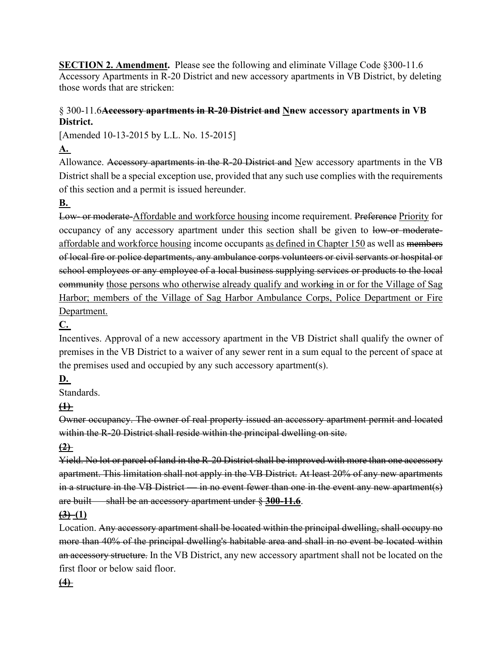**SECTION 2. Amendment.** Please see the following and eliminate Village Code §300-11.6 Accessory Apartments in R-20 District and new accessory apartments in VB District, by deleting those words that are stricken:

## § 300-11.6**[Accessory apartments in R-20 District and Nnew accessory apartments in VB](https://ecode360.com/14672199#14672199)  [District.](https://ecode360.com/14672199#14672199)**

[Amended 10-13-2015 by L.L. No. 15-2015]

# **[A.](https://ecode360.com/14672200#14672200)**

Allowance. Accessory apartments in the R-20 District and New accessory apartments in the VB District shall be a special exception use, provided that any such use complies with the requirements of this section and a permit is issued hereunder.

# **[B.](https://ecode360.com/14672201#14672201)**

Low- or moderate-Affordable and workforce housing income requirement. Preference Priority for occupancy of any accessory apartment under this section shall be given to low-or moderateaffordable and workforce housing income occupants as defined in Chapter 150 as well as members of local fire or police departments, any ambulance corps volunteers or civil servants or hospital or school employees or any employee of a local business supplying services or products to the local community those persons who otherwise already qualify and working in or for the Village of Sag Harbor; members of the Village of Sag Harbor Ambulance Corps, Police Department or Fire Department.

# **[C.](https://ecode360.com/14672202#14672202)**

Incentives. Approval of a new accessory apartment in the VB District shall qualify the owner of premises in the VB District to a waiver of any sewer rent in a sum equal to the percent of space at the premises used and occupied by any such accessory apartment(s).

# **[D.](https://ecode360.com/14672203#14672203)**

Standards.

# **[\(1\)](https://ecode360.com/14672204#14672204)**

Owner occupancy. The owner of real property issued an accessory apartment permit and located within the R-20 District shall reside within the principal dwelling on site.

# **[\(2\)](https://ecode360.com/14672205#14672205)**

Yield. No lot or parcel of land in the R-20 District shall be improved with more than one accessory apartment. This limitation shall not apply in the VB District. At least 20% of any new apartments in a structure in the VB District — in no event fewer than one in the event any new apartment(s) are built — shall be an accessory apartment under § **[300-11.6](https://ecode360.com/14672199#14672199)**.

## $\bigoplus$  (1)

Location. Any accessory apartment shall be located within the principal dwelling, shall occupy no more than 40% of the principal dwelling's habitable area and shall in no event be located within an accessory structure. In the VB District, any new accessory apartment shall not be located on the first floor or below said floor.

## **[\(4\)](https://ecode360.com/14672207#14672207)**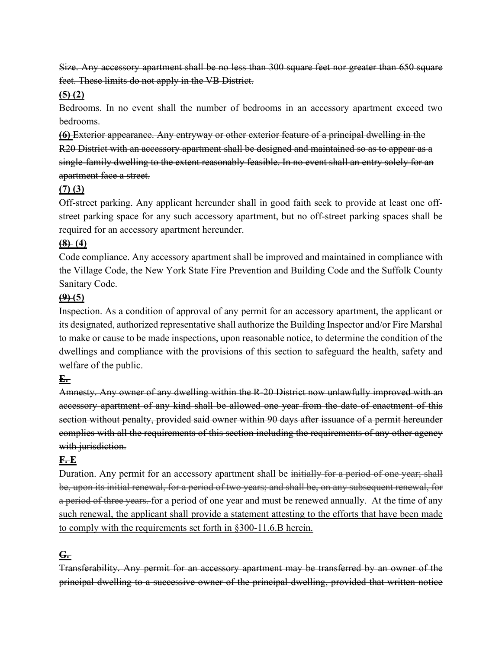Size. Any accessory apartment shall be no less than 300 square feet nor greater than 650 square feet. These limits do not apply in the VB District.

#### $\left(5\right)$   $\left(2\right)$

Bedrooms. In no event shall the number of bedrooms in an accessory apartment exceed two bedrooms.

**[\(6\)](https://ecode360.com/14672209#14672209)** Exterior appearance. Any entryway or other exterior feature of a principal dwelling in the R20 District with an accessory apartment shall be designed and maintained so as to appear as a single-family dwelling to the extent reasonably feasible. In no event shall an entry solely for an apartment face a street.

## $(7)$   $(3)$

Off-street parking. Any applicant hereunder shall in good faith seek to provide at least one offstreet parking space for any such accessory apartment, but no off-street parking spaces shall be required for an accessory apartment hereunder.

## **[\(8\)](https://ecode360.com/14672211#14672211) (4)**

Code compliance. Any accessory apartment shall be improved and maintained in compliance with the Village Code, the New York State Fire Prevention and Building Code and the Suffolk County Sanitary Code.

## $(9)$  (5)

Inspection. As a condition of approval of any permit for an accessory apartment, the applicant or its designated, authorized representative shall authorize the Building Inspector and/or Fire Marshal to make or cause to be made inspections, upon reasonable notice, to determine the condition of the dwellings and compliance with the provisions of this section to safeguard the health, safety and welfare of the public.

## **[E.](https://ecode360.com/14672213#14672213)**

Amnesty. Any owner of any dwelling within the R-20 District now unlawfully improved with an accessory apartment of any kind shall be allowed one year from the date of enactment of this section without penalty, provided said owner within 90 days after issuance of a permit hereunder complies with all the requirements of this section including the requirements of any other agency with jurisdiction.

#### **[F.](https://ecode360.com/14672214#14672214) E**

Duration. Any permit for an accessory apartment shall be initially for a period of one year; shall be, upon its initial renewal, for a period of two years; and shall be, on any subsequent renewal, for a period of three years. for a period of one year and must be renewed annually. At the time of any such renewal, the applicant shall provide a statement attesting to the efforts that have been made to comply with the requirements set forth in §300-11.6.B herein.

## **[G.](https://ecode360.com/14672215#14672215)**

Transferability. Any permit for an accessory apartment may be transferred by an owner of the principal dwelling to a successive owner of the principal dwelling, provided that written notice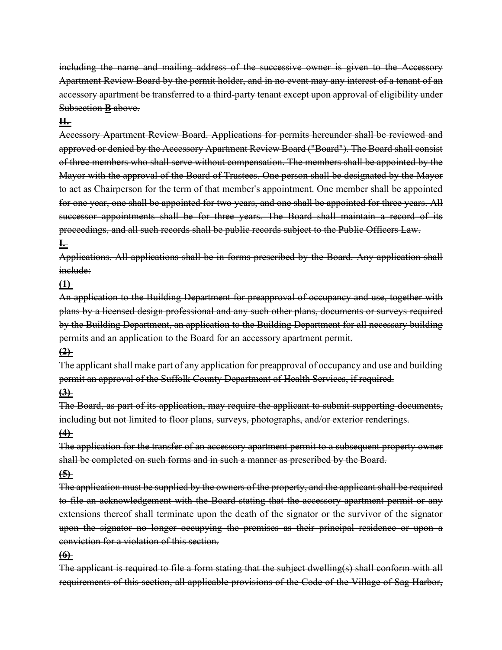including the name and mailing address of the successive owner is given to the Accessory Apartment Review Board by the permit holder, and in no event may any interest of a tenant of an accessory apartment be transferred to a third-party tenant except upon approval of eligibility under Subsection **[B](https://ecode360.com/14672201#14672201)** above.

#### **[H.](https://ecode360.com/14672216#14672216)**

Accessory Apartment Review Board. Applications for permits hereunder shall be reviewed and approved or denied by the Accessory Apartment Review Board ("Board"). The Board shall consist of three members who shall serve without compensation. The members shall be appointed by the Mayor with the approval of the Board of Trustees. One person shall be designated by the Mayor to act as Chairperson for the term of that member's appointment. One member shall be appointed for one year, one shall be appointed for two years, and one shall be appointed for three years. All successor appointments shall be for three years. The Board shall maintain a record of its proceedings, and all such records shall be public records subject to the Public Officers Law.

#### **[I.](https://ecode360.com/14672217#14672217)**

Applications. All applications shall be in forms prescribed by the Board. Any application shall inelude:

#### **[\(1\)](https://ecode360.com/14672218#14672218)**

An application to the Building Department for preapproval of occupancy and use, together with plans by a licensed design professional and any such other plans, documents or surveys required by the Building Department, an application to the Building Department for all necessary building permits and an application to the Board for an accessory apartment permit.

#### **[\(2\)](https://ecode360.com/14672219#14672219)**

The applicant shall make part of any application for preapproval of occupancy and use and building permit an approval of the Suffolk County Department of Health Services, if required.

#### **[\(3\)](https://ecode360.com/14672220#14672220)**

The Board, as part of its application, may require the applicant to submit supporting documents, including but not limited to floor plans, surveys, photographs, and/or exterior renderings.

#### **[\(4\)](https://ecode360.com/14672221#14672221)**

The application for the transfer of an accessory apartment permit to a subsequent property owner shall be completed on such forms and in such a manner as prescribed by the Board.

#### **[\(5\)](https://ecode360.com/14672222#14672222)**

The application must be supplied by the owners of the property, and the applicant shall be required to file an acknowledgement with the Board stating that the accessory apartment permit or any extensions thereof shall terminate upon the death of the signator or the survivor of the signator upon the signator no longer occupying the premises as their principal residence or upon a conviction for a violation of this section.

#### **[\(6\)](https://ecode360.com/14672223#14672223)**

The applicant is required to file a form stating that the subject dwelling(s) shall conform with all requirements of this section, all applicable provisions of the Code of the Village of Sag Harbor,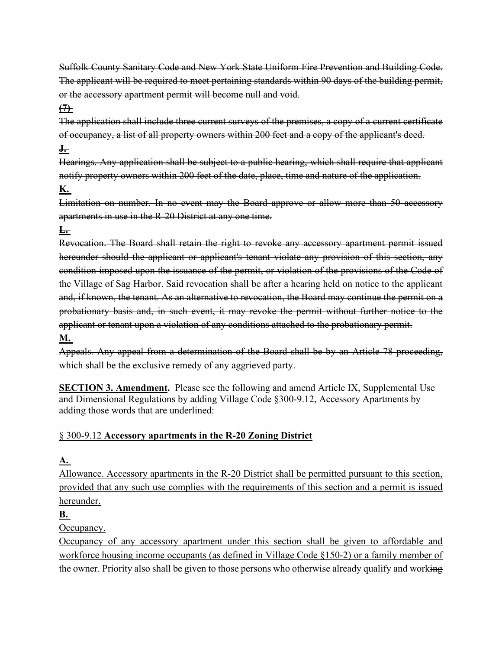Suffolk County Sanitary Code and New York State Uniform Fire Prevention and Building Code. The applicant will be required to meet pertaining standards within 90 days of the building permit, or the accessory apartment permit will become null and void.

## **[\(7\)](https://ecode360.com/14672224#14672224)**

The application shall include three current surveys of the premises, a copy of a current certificate of occupancy, a list of all property owners within 200 feet and a copy of the applicant's deed.

#### **[J.](https://ecode360.com/14672225#14672225)**

Hearings. Any application shall be subject to a public hearing, which shall require that applicant notify property owners within 200 feet of the date, place, time and nature of the application. **[K.](https://ecode360.com/14672226#14672226)**

Limitation on number. In no event may the Board approve or allow more than 50 accessory apartments in use in the R-20 District at any one time.

## **[L.](https://ecode360.com/14672227#14672227)**

Revocation. The Board shall retain the right to revoke any accessory apartment permit issued hereunder should the applicant or applicant's tenant violate any provision of this section, any condition imposed upon the issuance of the permit, or violation of the provisions of the Code of the Village of Sag Harbor. Said revocation shall be after a hearing held on notice to the applicant and, if known, the tenant. As an alternative to revocation, the Board may continue the permit on a probationary basis and, in such event, it may revoke the permit without further notice to the applicant or tenant upon a violation of any conditions attached to the probationary permit.

## **[M.](https://ecode360.com/14672228#14672228)**

Appeals. Any appeal from a determination of the Board shall be by an Article 78 proceeding, which shall be the exclusive remedy of any aggrieved party.

**SECTION 3. Amendment.** Please see the following and amend Article IX, Supplemental Use and Dimensional Regulations by adding Village Code §300-9.12, Accessory Apartments by adding those words that are underlined:

#### § 300-9.12 **[Accessory apartments in the R-20 Zoning District](https://ecode360.com/14672199#14672199)**

# **[A.](https://ecode360.com/14672200#14672200)**

Allowance. Accessory apartments in the R-20 District shall be permitted pursuant to this section, provided that any such use complies with the requirements of this section and a permit is issued hereunder.

## **[B.](https://ecode360.com/14672201#14672201)**

Occupancy.

Occupancy of any accessory apartment under this section shall be given to affordable and workforce housing income occupants (as defined in Village Code §150-2) or a family member of the owner. Priority also shall be given to those persons who otherwise already qualify and working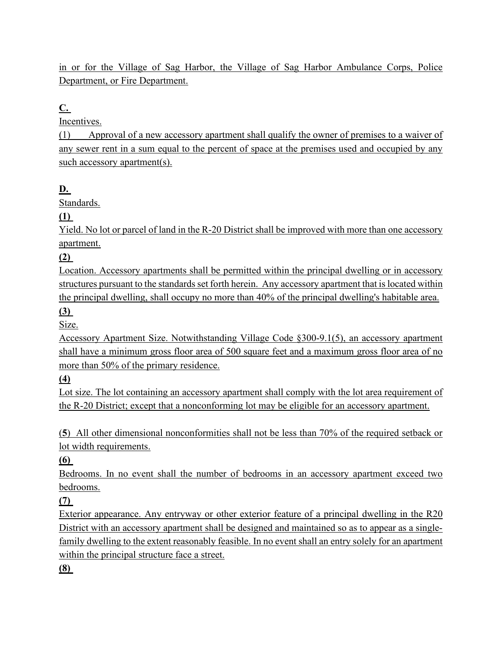in or for the Village of Sag Harbor, the Village of Sag Harbor Ambulance Corps, Police Department, or Fire Department.

# **[C.](https://ecode360.com/14672202#14672202)**

Incentives.

(1) Approval of a new accessory apartment shall qualify the owner of premises to a waiver of any sewer rent in a sum equal to the percent of space at the premises used and occupied by any such accessory apartment(s).

## **[D.](https://ecode360.com/14672203#14672203)**

Standards.

**[\(1\)](https://ecode360.com/14672205#14672205)** 

Yield. No lot or parcel of land in the R-20 District shall be improved with more than one accessory apartment.

**[\(2\)](https://ecode360.com/14672206#14672206)** 

Location. Accessory apartments shall be permitted within the principal dwelling or in accessory structures pursuant to the standards set forth herein. Any accessory apartment that is located within the principal dwelling, shall occupy no more than 40% of the principal dwelling's habitable area.

## **[\(3\)](https://ecode360.com/14672207#14672207)**

Size.

Accessory Apartment Size. Notwithstanding Village Code §300-9.1(5), an accessory apartment shall have a minimum gross floor area of 500 square feet and a maximum gross floor area of no more than 50% of the primary residence.

**(4)** 

Lot size. The lot containing an accessory apartment shall comply with the lot area requirement of the R-20 District; except that a nonconforming lot may be eligible for an accessory apartment.

(**5**) All other dimensional nonconformities shall not be less than 70% of the required setback or lot width requirements.

**[\(6\)](https://ecode360.com/14672208#14672208)** 

Bedrooms. In no event shall the number of bedrooms in an accessory apartment exceed two bedrooms.

#### **[\(7\)](https://ecode360.com/14672209#14672209)**

Exterior appearance. Any entryway or other exterior feature of a principal dwelling in the R20 District with an accessory apartment shall be designed and maintained so as to appear as a singlefamily dwelling to the extent reasonably feasible. In no event shall an entry solely for an apartment within the principal structure face a street.

#### **[\(8\)](https://ecode360.com/14672210#14672210)**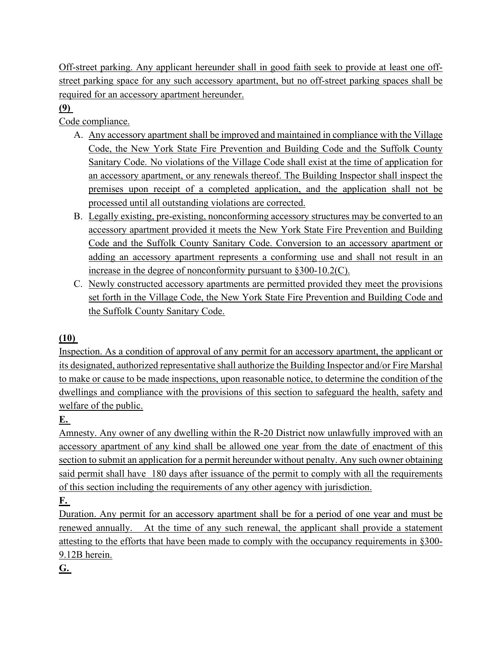Off-street parking. Any applicant hereunder shall in good faith seek to provide at least one offstreet parking space for any such accessory apartment, but no off-street parking spaces shall be required for an accessory apartment hereunder.

# **[\(9\)](https://ecode360.com/14672211#14672211)**

Code compliance.

- A. Any accessory apartment shall be improved and maintained in compliance with the Village Code, the New York State Fire Prevention and Building Code and the Suffolk County Sanitary Code. No violations of the Village Code shall exist at the time of application for an accessory apartment, or any renewals thereof. The Building Inspector shall inspect the premises upon receipt of a completed application, and the application shall not be processed until all outstanding violations are corrected.
- B. Legally existing, pre-existing, nonconforming accessory structures may be converted to an accessory apartment provided it meets the New York State Fire Prevention and Building Code and the Suffolk County Sanitary Code. Conversion to an accessory apartment or adding an accessory apartment represents a conforming use and shall not result in an increase in the degree of nonconformity pursuant to §300-10.2(C).
- C. Newly constructed accessory apartments are permitted provided they meet the provisions set forth in the Village Code, the New York State Fire Prevention and Building Code and the Suffolk County Sanitary Code.

## **[\(10\)](https://ecode360.com/14672212#14672212)**

Inspection. As a condition of approval of any permit for an accessory apartment, the applicant or its designated, authorized representative shall authorize the Building Inspector and/or Fire Marshal to make or cause to be made inspections, upon reasonable notice, to determine the condition of the dwellings and compliance with the provisions of this section to safeguard the health, safety and welfare of the public.

# **[E.](https://ecode360.com/14672213#14672213)**

Amnesty. Any owner of any dwelling within the R-20 District now unlawfully improved with an accessory apartment of any kind shall be allowed one year from the date of enactment of this section to submit an application for a permit hereunder without penalty. Any such owner obtaining said permit shall have 180 days after issuance of the permit to comply with all the requirements of this section including the requirements of any other agency with jurisdiction.

# **[F.](https://ecode360.com/14672214#14672214)**

Duration. Any permit for an accessory apartment shall be for a period of one year and must be renewed annually. At the time of any such renewal, the applicant shall provide a statement attesting to the efforts that have been made to comply with the occupancy requirements in §300- 9.12B herein.

**[G.](https://ecode360.com/14672215#14672215)**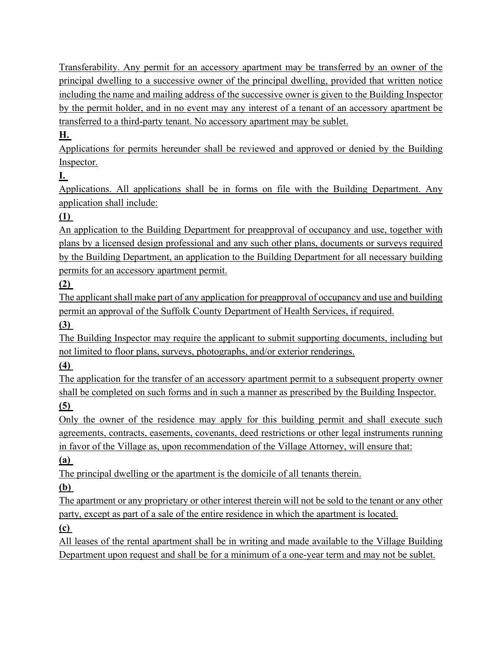Transferability. Any permit for an accessory apartment may be transferred by an owner of the principal dwelling to a successive owner of the principal dwelling, provided that written notice including the name and mailing address of the successive owner is given to the Building Inspector by the permit holder, and in no event may any interest of a tenant of an accessory apartment be transferred to a third-party tenant. No accessory apartment may be sublet.

# **[H.](https://ecode360.com/14672216#14672216)**

Applications for permits hereunder shall be reviewed and approved or denied by the Building Inspector.

# **[I.](https://ecode360.com/14672217#14672217)**

Applications. All applications shall be in forms on file with the Building Department. Any application shall include:

# **[\(1\)](https://ecode360.com/14672218#14672218)**

An application to the Building Department for preapproval of occupancy and use, together with plans by a licensed design professional and any such other plans, documents or surveys required by the Building Department, an application to the Building Department for all necessary building permits for an accessory apartment permit.

# **[\(2\)](https://ecode360.com/14672219#14672219)**

The applicant shall make part of any application for preapproval of occupancy and use and building permit an approval of the Suffolk County Department of Health Services, if required.

**[\(3\)](https://ecode360.com/14672220#14672220)**

The Building Inspector may require the applicant to submit supporting documents, including but not limited to floor plans, surveys, photographs, and/or exterior renderings.

# **[\(4\)](https://ecode360.com/14672221#14672221)**

The application for the transfer of an accessory apartment permit to a subsequent property owner shall be completed on such forms and in such a manner as prescribed by the Building Inspector.

# **[\(5\)](https://ecode360.com/14672222#14672222)**

Only the owner of the residence may apply for this building permit and shall execute such agreements, contracts, easements, covenants, deed restrictions or other legal instruments running in favor of the Village as, upon recommendation of the Village Attorney, will ensure that:

## **[\(a\)](https://ecode360.com/6849024#6849024)**

The principal dwelling or the apartment is the domicile of all tenants therein.

# **[\(b\)](https://ecode360.com/6849025#6849025)**

The apartment or any proprietary or other interest therein will not be sold to the tenant or any other party, except as part of a sale of the entire residence in which the apartment is located.

## **[\(c\)](https://ecode360.com/6849026#6849026)**

All leases of the rental apartment shall be in writing and made available to the Village Building Department upon request and shall be for a minimum of a one-year term and may not be sublet.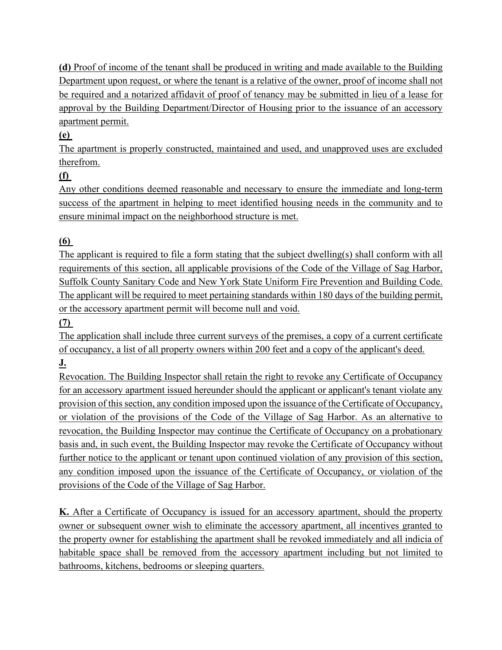**(d)** Proof of income of the tenant shall be produced in writing and made available to the Building Department upon request, or where the tenant is a relative of the owner, proof of income shall not be required and a notarized affidavit of proof of tenancy may be submitted in lieu of a lease for approval by the Building Department/Director of Housing prior to the issuance of an accessory apartment permit.

# **(e)**

The apartment is properly constructed, maintained and used, and unapproved uses are excluded therefrom.

# **(f)**

Any other conditions deemed reasonable and necessary to ensure the immediate and long-term success of the apartment in helping to meet identified housing needs in the community and to ensure minimal impact on the neighborhood structure is met.

## **(6)**

The applicant is required to file a form stating that the subject dwelling(s) shall conform with all requirements of this section, all applicable provisions of the Code of the Village of Sag Harbor, Suffolk County Sanitary Code and New York State Uniform Fire Prevention and Building Code. The applicant will be required to meet pertaining standards within 180 days of the building permit, or the accessory apartment permit will become null and void.

## **(7)**

The application shall include three current surveys of the premises, a copy of a current certificate of occupancy, a list of all property owners within 200 feet and a copy of the applicant's deed. **J.**

Revocation. The Building Inspector shall retain the right to revoke any Certificate of Occupancy for an accessory apartment issued hereunder should the applicant or applicant's tenant violate any provision of this section, any condition imposed upon the issuance of the Certificate of Occupancy, or violation of the provisions of the Code of the Village of Sag Harbor. As an alternative to revocation, the Building Inspector may continue the Certificate of Occupancy on a probationary basis and, in such event, the Building Inspector may revoke the Certificate of Occupancy without further notice to the applicant or tenant upon continued violation of any provision of this section, any condition imposed upon the issuance of the Certificate of Occupancy, or violation of the provisions of the Code of the Village of Sag Harbor.

**K.** After a Certificate of Occupancy is issued for an accessory apartment, should the property owner or subsequent owner wish to eliminate the accessory apartment, all incentives granted to the property owner for establishing the apartment shall be revoked immediately and all indicia of habitable space shall be removed from the accessory apartment including but not limited to bathrooms, kitchens, bedrooms or sleeping quarters.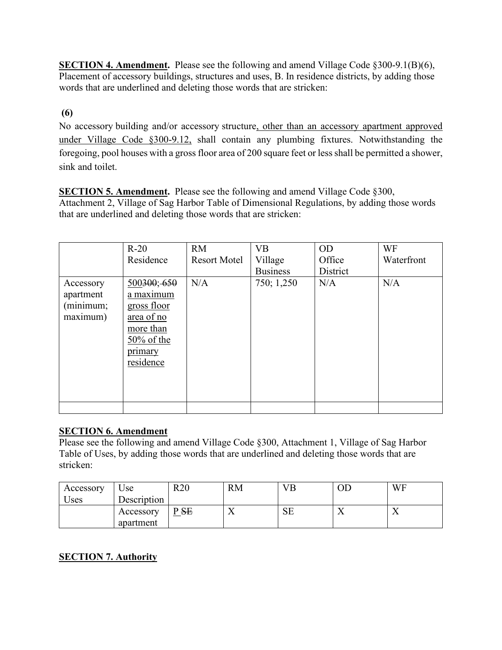**SECTION 4. Amendment.** Please see the following and amend Village Code §300-9.1(B)(6), Placement of accessory buildings, structures and uses, B. In residence districts, by adding those words that are underlined and deleting those words that are stricken:

## **(6)**

No accessory building and/or accessory structure, other than an accessory apartment approved under Village Code §300-9.12, shall contain any plumbing fixtures. Notwithstanding the foregoing, pool houses with a gross floor area of 200 square feet or less shall be permitted a shower, sink and toilet.

**SECTION 5. Amendment.** Please see the following and amend Village Code §300, Attachment 2, Village of Sag Harbor Table of Dimensional Regulations, by adding those words that are underlined and deleting those words that are stricken:

|                                                 | $R-20$                                                                                                      | <b>RM</b>           | <b>VB</b>       | <b>OD</b> | WF         |
|-------------------------------------------------|-------------------------------------------------------------------------------------------------------------|---------------------|-----------------|-----------|------------|
|                                                 | Residence                                                                                                   | <b>Resort Motel</b> | Village         | Office    | Waterfront |
|                                                 |                                                                                                             |                     | <b>Business</b> | District  |            |
| Accessory<br>apartment<br>(minimum;<br>maximum) | 500300; 650<br>a maximum<br>gross floor<br>area of no<br>more than<br>$50\%$ of the<br>primary<br>residence | N/A                 | 750; 1,250      | N/A       | N/A        |
|                                                 |                                                                                                             |                     |                 |           |            |

#### **SECTION 6. Amendment**

Please see the following and amend Village Code §300, Attachment 1, Village of Sag Harbor Table of Uses, by adding those words that are underlined and deleting those words that are stricken:

| Accessory<br>Uses | $\cup$ se<br>Description | R20 | <b>RM</b> | VB        |    | WF |
|-------------------|--------------------------|-----|-----------|-----------|----|----|
|                   | Accessory<br>apartment   | PSE | ∡⊾        | <b>SE</b> | ∡⊾ |    |

## **SECTION 7. Authority**